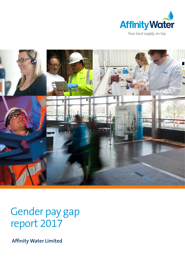



Gender pay gap report 2017

**Affinity Water Limited**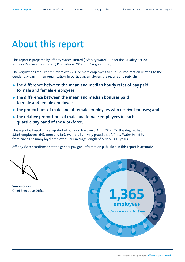## <span id="page-1-0"></span>**About this report**

This report is prepared by Affinity Water Limited ("Affinity Water") under the Equality Act 2010 (Gender Pay Gap Information) Regulations 2017 (the "Regulations").

The Regulations require employers with 250 or more employees to publish information relating to the gender pay gap in their organisation. In particular, employers are required to publish:

- **• the difference between the mean and median hourly rates of pay paid to male and female employees;**
- **• the difference between the mean and median bonuses paid to male and female employees;**
- **• the proportions of male and of female employees who receive bonuses; and**
- **• the relative proportions of male and female employees in each quartile pay band of the workforce.**

This report is based on a snap shot of our workforce on 5 April 2017. On this day, we had **1,365 employees; 64% men and 36% women.** I am very proud that Affinity Water benefits from having so many loyal employees; our average length of service is 10 years.

Affinity Water confirms that the gender pay gap information published in this report is accurate.

**Simon Cocks** Chief Executive Officer

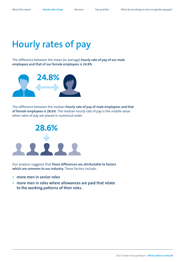# <span id="page-2-0"></span>**Hourly rates of pay**

The difference between the mean (or average) **hourly rate of pay of our male employees and that of our female employees is 24.8%.**



The difference between the median **hourly rate of pay of male employees and that of female employees is 28.6%.** The median hourly rate of pay is the middle value when rates of pay are placed in numerical order.



Our analysis suggests that **these differences are attributable to factors which are common to our industry.** These factors include:

- **• more men in senior roles**
- **• more men in roles where allowances are paid that relate to the working patterns of their roles.**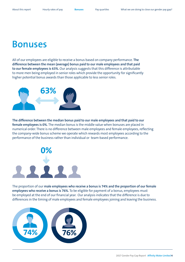#### <span id="page-3-0"></span>**Bonuses**

All of our employees are eligible to receive a bonus based on company performance. **The difference between the mean (average) bonus paid to our male employees and that paid to our female employees is 63%.** Our analysis suggests that this difference is attributable to more men being employed in senior roles which provide the opportunity for significantly higher potential bonus awards than those applicable to less senior roles.



**The difference between the median bonus paid to our male employees and that paid to our female employees is 0%.** The median bonus is the middle value when bonuses are placed in numerical order. There is no difference between male employees and female employees, reflecting the company-wide bonus scheme we operate which rewards most employees according to the performance of the business rather than individual or team-based performance.



The proportion of our **male employees who receive a bonus is 74% and the proportion of our female employees who receive a bonus is 76%.** To be eligible for payment of a bonus, employees must be employed at the end of our financial year. Our analysis indicates that the difference is due to differences in the timing of male employees and female employees joining and leaving the business.

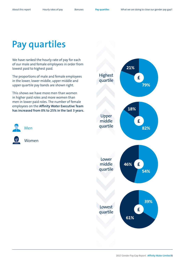## <span id="page-4-0"></span>**Pay quartiles**

We have ranked the hourly rate of pay for each of our male and female employees in order from lowest paid to highest paid.

The proportions of male and female employees in the lower, lower middle, upper middle and upper quartile pay bands are shown right.

This shows we have more men than women in higher paid roles and more women than men in lower paid roles. The number of female employees on the **Affinity Water Executive Team has increased from 0% to 25% in the last 3 years.**